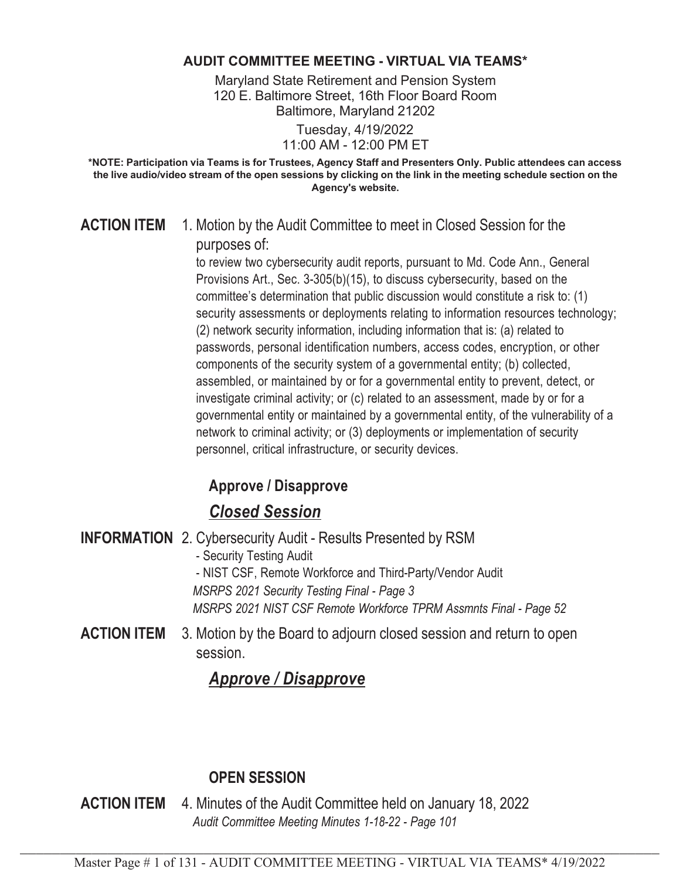#### **AUDIT COMMITTEE MEETING - VIRTUAL VIA TEAMS\***

Maryland State Retirement and Pension System 120 E. Baltimore Street, 16th Floor Board Room Baltimore, Maryland 21202

> Tuesday, 4/19/2022 11:00 AM - 12:00 PM ET

**\*NOTE: Participation via Teams is for Trustees, Agency Staff and Presenters Only. Public attendees can access the live audio/video stream of the open sessions by clicking on the link in the meeting schedule section on the Agency's website.**

#### **ACTION ITEM** 1. Motion by the Audit Committee to meet in Closed Session for the purposes of:

to review two cybersecurity audit reports, pursuant to Md. Code Ann., General Provisions Art., Sec. 3-305(b)(15), to discuss cybersecurity, based on the committee's determination that public discussion would constitute a risk to: (1) security assessments or deployments relating to information resources technology; (2) network security information, including information that is: (a) related to passwords, personal identification numbers, access codes, encryption, or other components of the security system of a governmental entity; (b) collected, assembled, or maintained by or for a governmental entity to prevent, detect, or investigate criminal activity; or (c) related to an assessment, made by or for a governmental entity or maintained by a governmental entity, of the vulnerability of a network to criminal activity; or (3) deployments or implementation of security personnel, critical infrastructure, or security devices.

## **Approve / Disapprove**

## *Closed Session*

|                    | <b>INFORMATION</b> 2. Cybersecurity Audit - Results Presented by RSM            |
|--------------------|---------------------------------------------------------------------------------|
|                    | - Security Testing Audit                                                        |
|                    | - NIST CSF, Remote Workforce and Third-Party/Vendor Audit                       |
|                    | MSRPS 2021 Security Testing Final - Page 3                                      |
|                    | MSRPS 2021 NIST CSF Remote Workforce TPRM Assmnts Final - Page 52               |
| <b>ACTION ITEM</b> | 3. Motion by the Board to adjourn closed session and return to open<br>session. |

## *Approve / Disapprove*

## **OPEN SESSION**

**ACTION ITEM** 4. Minutes of the Audit Committee held on January 18, 2022 *Audit Committee Meeting Minutes 1-18-22 - Page 101*